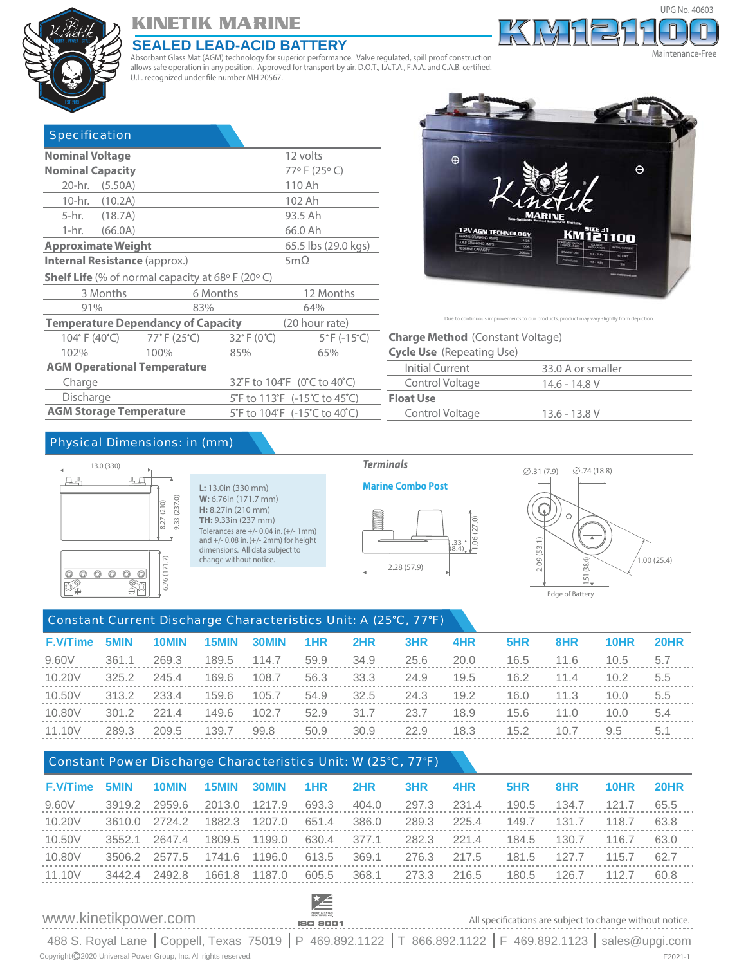

# **KINETIK MARINE**

#### **SEALED LEAD-ACID BATTERY**

Absorbant Glass Mat (AGM) technology for superior performance. Valve regulated, spill proof construction allows safe operation in any position. Approved for transport by air. D.O.T., I.A.T.A., F.A.A. and C.A.B. certified. U.L. recognized under file number MH 20567.

| <b>Specification</b>                                |                                                  |                                                                        |                                 |                                  |  |  |  |  |  |
|-----------------------------------------------------|--------------------------------------------------|------------------------------------------------------------------------|---------------------------------|----------------------------------|--|--|--|--|--|
| <b>Nominal Voltage</b><br>12 volts                  |                                                  |                                                                        |                                 |                                  |  |  |  |  |  |
| <b>Nominal Capacity</b>                             |                                                  |                                                                        |                                 | 77°F (25°C)                      |  |  |  |  |  |
| 20-hr. (5.50A)                                      |                                                  |                                                                        |                                 | 110 Ah                           |  |  |  |  |  |
| 10-hr. (10.2A)                                      |                                                  |                                                                        |                                 | 102 Ah                           |  |  |  |  |  |
| 5-hr. (18.7A)                                       |                                                  |                                                                        |                                 | 93.5 Ah                          |  |  |  |  |  |
| 1-hr. –                                             | (66.0A)                                          |                                                                        |                                 | 66.0 Ah                          |  |  |  |  |  |
|                                                     | <b>Approximate Weight</b><br>65.5 lbs (29.0 kgs) |                                                                        |                                 |                                  |  |  |  |  |  |
| <b>Internal Resistance (approx.)</b><br>5m $\Omega$ |                                                  |                                                                        |                                 |                                  |  |  |  |  |  |
|                                                     |                                                  | <b>Shelf Life</b> (% of normal capacity at 68 $\circ$ F (20 $\circ$ C) |                                 |                                  |  |  |  |  |  |
|                                                     | 3 Months                                         |                                                                        | 6 Months                        | 12 Months                        |  |  |  |  |  |
| 91%                                                 |                                                  | 83%                                                                    |                                 | 64%                              |  |  |  |  |  |
|                                                     |                                                  | <b>Temperature Dependancy of Capacity</b>                              |                                 | (20 hour rate)                   |  |  |  |  |  |
|                                                     | 104°F (40°C)                                     | $77^{\circ}$ F (25 $^{\circ}$ C)                                       | $32^{\circ}$ F (0 $^{\circ}$ C) | $5^{\circ}$ F (-15 $^{\circ}$ C) |  |  |  |  |  |
| 102%                                                |                                                  | 100%                                                                   | 85%                             | 65%                              |  |  |  |  |  |
|                                                     |                                                  | <b>AGM Operational Temperature</b>                                     |                                 |                                  |  |  |  |  |  |
| Charge                                              |                                                  |                                                                        |                                 | 32°F to 104°F (0°C to 40°C)      |  |  |  |  |  |
| Discharge                                           |                                                  |                                                                        |                                 | 5°F to 113°F (-15°C to 45°C)     |  |  |  |  |  |
| <b>AGM Storage Temperature</b>                      |                                                  |                                                                        |                                 | 5°F to 104°F (-15°C to 40°C)     |  |  |  |  |  |



33.0 A or smaller 14.6 - 14.8 V **Charge Method** (Constant Voltage) **Cycle Use** (Repeating Use) **Float Use** Initial Current Control Voltage Control Voltage 13.6 - 13.8 V

Due to continuous improvements to our products, product may vary slightly from depiction.

#### Physical Dimensions: in (mm)



#### **L:** 13.0in (330 mm) **W:** 6.76in (171.7 mm) **H:** 8.27in (210 mm) **TH:** 9.33in (237 mm) Tolerances are +/- 0.04 in. (+/- 1mm) and +/- 0.08 in. (+/- 2mm) for height dimensions. All data subject to change without notice.





# Constant Current Discharge Characteristics Unit: A (25°C, 77°F)

| <b>F.V/Time</b> | 5MIN  | 10MIN | 15MIN | 30MIN | 1HR  | 2HR  | 3HR  | 4HR  | 5HR  | 8HR  | 10HR          | <b>20HR</b> |
|-----------------|-------|-------|-------|-------|------|------|------|------|------|------|---------------|-------------|
| 9.60V           | 361.1 | 269.3 | 189.5 | 114.7 | 59.9 | 34.9 | 25.6 | 20.0 | 16.5 | 11.6 | 10.5          | 5.7         |
| 10.20V          | 325.2 | 245.4 | 169.6 | 108.7 | 56.3 | 33.3 | 24.9 | 19.5 | 16.2 | 11.4 | 10.2          | 5.5         |
| 10.50V          | 313.2 | 233.4 | 159.6 | 105.7 | 54.9 | 32.5 | 24.3 | 19.2 | 16.0 | 11.3 | 10.0          | 5.5         |
| 10.80V          | 301.2 | 221.4 | 149.6 | 102.7 | 52.9 | 31.7 | 23.7 | 18.9 | 15.6 | 11.0 | 10.0          | 5.4         |
| 11.10V          | 289.3 | 209.5 | 139.7 | 99.8  | 50.9 | 30.9 | 22.9 | 18.3 | 15.2 | 10.7 | $9.5^{\circ}$ | 5.1         |
|                 |       |       |       |       |      |      |      |      |      |      |               |             |

#### Constant Power Discharge Characteristics Unit: W (25°C, 77°F)

| <b>F.V/Time</b> | 5MIN   | 10MIN         | 15MIN  | 30MIN         | 1HR   | 2HR   | 3HR   | 4HR   | 5HR   | 8HR   | 10HR  | 20HR |
|-----------------|--------|---------------|--------|---------------|-------|-------|-------|-------|-------|-------|-------|------|
| 9.60V           | 3919.2 | 2959.6        | 2013.0 | 1217.9        | 693.3 | 404.0 | 297.3 | 231.4 | 190.5 | 134.7 | 121.7 | 65.5 |
| 10.20V          |        | 3610.0 2724.2 | 1882.3 | 1207.0        | 651.4 | 386.0 | 289.3 | 225.4 | 149.7 | 131.7 | 118.7 | 63.8 |
| 10.50V          | 3552.1 | 2647.4        |        | 1809.5 1199.0 | 630.4 | 377.1 | 282.3 | 221.4 | 184.5 | 130.7 | 116.7 | 63.0 |
| 10.80V          |        | 3506.2 2577.5 | 1741.6 | 1196.0        | 613.5 | 369.1 | 276.3 | 217.5 | 181.5 | 127.7 | 115.7 | 62.7 |
| 11.10V          |        | 3442.4 2492.8 |        | 1661.8 1187.0 | 605.5 | 368.1 | 273.3 | 216.5 | 180.5 | 126.7 | 112.7 | 60.8 |
|                 |        |               |        |               |       |       |       |       |       |       |       |      |

#### www.kinetikpower.com



#### All specifications are subject to change without notice.

UPG No. 40603

Maintenance-Free

488 S. Royal Lane | Coppell, Texas 75019 | P 469.892.1122 | T 866.892.1122 | F 469.892.1123 | sales@upgi.com Copyright C 2020 Universal Power Group, Inc. All rights reserved.